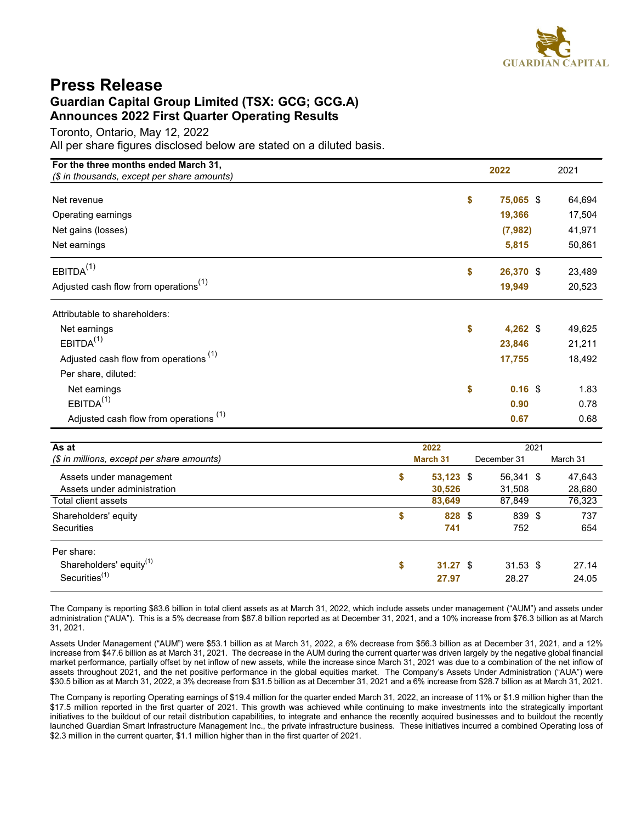

## **Press Release Guardian Capital Group Limited (TSX: GCG; GCG.A) Announces 2022 First Quarter Operating Results**

Toronto, Ontario, May 12, 2022

All per share figures disclosed below are stated on a diluted basis.

| For the three months ended March 31,<br>(\$ in thousands, except per share amounts) | 2022            | 2021   |  |  |
|-------------------------------------------------------------------------------------|-----------------|--------|--|--|
| Net revenue                                                                         | \$<br>75,065 \$ | 64,694 |  |  |
| Operating earnings                                                                  | 19,366          | 17,504 |  |  |
| Net gains (losses)                                                                  | (7, 982)        | 41,971 |  |  |
| Net earnings                                                                        | 5,815           | 50,861 |  |  |
| EBITDA <sup>(1)</sup>                                                               | \$<br>26,370 \$ | 23,489 |  |  |
| Adjusted cash flow from operations <sup>(1)</sup>                                   | 19,949          | 20,523 |  |  |
| Attributable to shareholders:                                                       |                 |        |  |  |
| Net earnings                                                                        | \$<br>4,262 $$$ | 49,625 |  |  |
| EBITDA <sup>(1)</sup>                                                               | 23,846          | 21,211 |  |  |
| Adjusted cash flow from operations <sup>(1)</sup>                                   | 17,755          | 18,492 |  |  |
| Per share, diluted:                                                                 |                 |        |  |  |
| Net earnings                                                                        | \$<br>$0.16$ \$ | 1.83   |  |  |
| EBITDA <sup>(1)</sup>                                                               | 0.90            | 0.78   |  |  |
| Adjusted cash flow from operations <sup>(1)</sup>                                   | 0.67            | 0.68   |  |  |

| As at                                      | 2022 |             |  |             |  | 2021     |  |  |  |  |  |  |  |
|--------------------------------------------|------|-------------|--|-------------|--|----------|--|--|--|--|--|--|--|
| (\$ in millions, except per share amounts) |      | March 31    |  | December 31 |  | March 31 |  |  |  |  |  |  |  |
| Assets under management                    | \$   | $53,123$ \$ |  | 56,341 \$   |  | 47,643   |  |  |  |  |  |  |  |
| Assets under administration                |      | 30,526      |  | 31,508      |  | 28,680   |  |  |  |  |  |  |  |
| Total client assets                        |      | 83,649      |  | 87,849      |  | 76,323   |  |  |  |  |  |  |  |
| Shareholders' equity                       | \$   | 828 \$      |  | 839 \$      |  | 737      |  |  |  |  |  |  |  |
| Securities                                 |      | 741         |  | 752         |  | 654      |  |  |  |  |  |  |  |
| Per share:                                 |      |             |  |             |  |          |  |  |  |  |  |  |  |
| Shareholders' equity <sup>(1)</sup>        | \$   | 31.27 S     |  | $31.53$ \$  |  | 27.14    |  |  |  |  |  |  |  |
| Securities <sup>(1)</sup>                  |      | 27.97       |  | 28.27       |  | 24.05    |  |  |  |  |  |  |  |

The Company is reporting \$83.6 billion in total client assets as at March 31, 2022, which include assets under management ("AUM") and assets under administration ("AUA"). This is a 5% decrease from \$87.8 billion reported as at December 31, 2021, and a 10% increase from \$76.3 billion as at March 31, 2021.

Assets Under Management ("AUM") were \$53.1 billion as at March 31, 2022, a 6% decrease from \$56.3 billion as at December 31, 2021, and a 12% increase from \$47.6 billion as at March 31, 2021. The decrease in the AUM during the current quarter was driven largely by the negative global financial market performance, partially offset by net inflow of new assets, while the increase since March 31, 2021 was due to a combination of the net inflow of assets throughout 2021, and the net positive performance in the global equities market. The Company's Assets Under Administration ("AUA") were \$30.5 billion as at March 31, 2022, a 3% decrease from \$31.5 billion as at December 31, 2021 and a 6% increase from \$28.7 billion as at March 31, 2021.

The Company is reporting Operating earnings of \$19.4 million for the quarter ended March 31, 2022, an increase of 11% or \$1.9 million higher than the \$17.5 million reported in the first quarter of 2021. This growth was achieved while continuing to make investments into the strategically important initiatives to the buildout of our retail distribution capabilities, to integrate and enhance the recently acquired businesses and to buildout the recently launched Guardian Smart Infrastructure Management Inc., the private infrastructure business. These initiatives incurred a combined Operating loss of \$2.3 million in the current quarter, \$1.1 million higher than in the first quarter of 2021.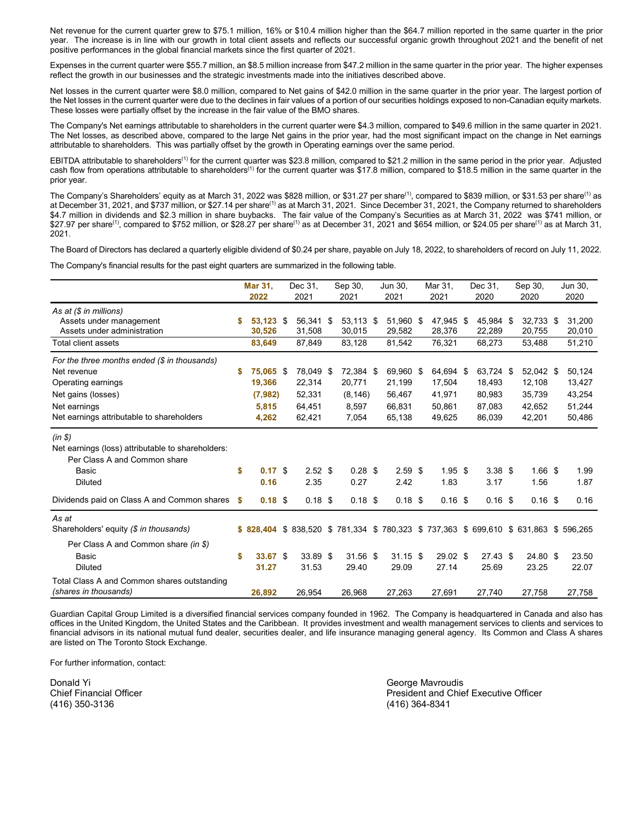<span id="page-1-0"></span>Net revenue for the current quarter grew to \$75.1 million, 16% or \$10.4 million higher than the \$64.7 million reported in the same quarter in the prior year. The increase is in line with our growth in total client assets and reflects our successful organic growth throughout 2021 and the benefit of net positive performances in the global financial markets since the first quarter of 2021.

Expenses in the current quarter were \$55.7 million, an \$8.5 million increase from \$47.2 million in the same quarter in the prior year. The higher expenses reflect the growth in our businesses and the strategic investments made into the initiatives described above.

Net losses in the current quarter were \$8.0 million, compared to Net gains of \$42.0 million in the same quarter in the prior year. The largest portion of the Net losses in the current quarter were due to the declines in fair values of a portion of our securities holdings exposed to non-Canadian equity markets. These losses were partially offset by the increase in the fair value of the BMO shares.

The Company's Net earnings attributable to shareholders in the current quarter were \$4.3 million, compared to \$49.6 million in the same quarter in 2021. The Net losses, as described above, compared to the large Net gains in the prior year, had the most significant impact on the change in Net earnings attributable to shareholders. This was partially offset by the growth in Operating earnings over the same period.

EBITDA attributable to shareholders<sup>[\(1\)](#page-2-0)</sup> for the current quarter was \$23.8 million, compared to \$21.2 million in the same period in the prior year. Adjusted cash flow from operations attributable to shareholders<sup>[\(1\)](#page-2-0)</sup> for the current quarter was \$17.8 million, compared to \$18.5 million in the same quarter in the prior year.

The Company's Shareholders' equity as at March 31, 2022 was \$828 million, or \$31.27 per share<sup>[\(1\)](#page-2-0)</sup>, compared to \$839 million, or \$31.53 per share<sup>(1)</sup> as at December 31, 2021, and \$737 million, or \$27.14 per share<sup>[\(1\)](#page-2-0)</sup> as at March 31, 2021. Since December 31, 2021, the Company returned to shareholders \$4.7 million in dividends and \$2.3 million in share buybacks. The fair value of the Company's Securities as at March 31, 2022 was \$741 million, or \$27.97 per share<sup>[\(1\)](#page-2-0)</sup>, compared to \$752 million, or \$28.27 per share<sup>(1)</sup> as at December 31, 2021 and \$654 million, or \$24.05 per share<sup>(1)</sup> as at March 31, 2021.

The Board of Directors has declared a quarterly eligible dividend of \$0.24 per share, payable on July 18, 2022, to shareholders of record on July 11, 2022.

The Company's financial results for the past eight quarters are summarized in the following table.

|                                                                      | <b>Mar 31,</b> |                       | Dec 31,   |    | Sep 30,                                                               |  | Jun 30,    |  | Mar 31,             |  | Dec 31.    | Sep 30, |                     | Jun 30, |
|----------------------------------------------------------------------|----------------|-----------------------|-----------|----|-----------------------------------------------------------------------|--|------------|--|---------------------|--|------------|---------|---------------------|---------|
|                                                                      |                | 2022                  | 2021      |    | 2021                                                                  |  | 2021       |  | 2021                |  | 2020       |         | 2020                | 2020    |
| As at (\$ in millions)                                               | \$             |                       | 56,341    |    | 53,113 \$                                                             |  | 51,960 \$  |  |                     |  | 45.984 \$  |         |                     | 31.200  |
| Assets under management<br>Assets under administration               |                | $53,123$ \$<br>30,526 | 31,508    | \$ | 30,015                                                                |  | 29,582     |  | 47,945 \$<br>28,376 |  | 22,289     |         | 32,733 \$<br>20,755 | 20,010  |
| Total client assets                                                  |                | 83,649                | 87,849    |    | 83,128                                                                |  | 81,542     |  | 76,321              |  | 68,273     |         | 53,488              | 51,210  |
| For the three months ended (\$ in thousands)                         |                |                       |           |    |                                                                       |  |            |  |                     |  |            |         |                     |         |
| Net revenue                                                          | \$             | 75,065 \$             | 78,049 \$ |    | 72,384 \$                                                             |  | 69,960 \$  |  | 64,694 \$           |  | 63,724 \$  |         | 52,042 \$           | 50,124  |
| Operating earnings                                                   |                | 19,366                | 22,314    |    | 20,771                                                                |  | 21,199     |  | 17,504              |  | 18,493     |         | 12,108              | 13,427  |
| Net gains (losses)                                                   |                | (7,982)               | 52,331    |    | (8, 146)                                                              |  | 56,467     |  | 41,971              |  | 80,983     |         | 35,739              | 43,254  |
| Net earnings                                                         |                | 5,815                 | 64,451    |    | 8,597                                                                 |  | 66.831     |  | 50,861              |  | 87,083     |         | 42.652              | 51,244  |
| Net earnings attributable to shareholders                            |                | 4,262                 | 62,421    |    | 7,054                                                                 |  | 65,138     |  | 49,625              |  | 86,039     |         | 42,201              | 50,486  |
| $(in \S)$                                                            |                |                       |           |    |                                                                       |  |            |  |                     |  |            |         |                     |         |
| Net earnings (loss) attributable to shareholders:                    |                |                       |           |    |                                                                       |  |            |  |                     |  |            |         |                     |         |
| Per Class A and Common share                                         |                |                       |           |    |                                                                       |  |            |  |                     |  |            |         |                     |         |
| Basic                                                                | \$             | 0.17S                 | $2.52$ \$ |    | $0.28$ \$                                                             |  | $2.59$ \$  |  | $1.95$ \$           |  | $3.38$ \$  |         | $1.66$ \$           | 1.99    |
| <b>Diluted</b>                                                       |                | 0.16                  | 2.35      |    | 0.27                                                                  |  | 2.42       |  | 1.83                |  | 3.17       |         | 1.56                | 1.87    |
| Dividends paid on Class A and Common shares                          | - \$           | $0.18$ \$             | $0.18$ \$ |    | $0.18$ \$                                                             |  | $0.18$ \$  |  | $0.16$ \$           |  | $0.16$ \$  |         | $0.16$ \$           | 0.16    |
| As at                                                                |                |                       |           |    |                                                                       |  |            |  |                     |  |            |         |                     |         |
| Shareholders' equity (\$ in thousands)                               |                | \$828.404             |           |    | \$838,520 \$781,334 \$780,323 \$737,363 \$699,610 \$631,863 \$596,265 |  |            |  |                     |  |            |         |                     |         |
| Per Class A and Common share (in \$)                                 |                |                       |           |    |                                                                       |  |            |  |                     |  |            |         |                     |         |
| Basic                                                                | \$             | 33.67 \$              | 33.89 \$  |    | $31.56$ \$                                                            |  | $31.15$ \$ |  | 29.02 \$            |  | $27.43$ \$ |         | 24.80 \$            | 23.50   |
| <b>Diluted</b>                                                       |                | 31.27                 | 31.53     |    | 29.40                                                                 |  | 29.09      |  | 27.14               |  | 25.69      |         | 23.25               | 22.07   |
| Total Class A and Common shares outstanding<br>(shares in thousands) |                | 26,892                | 26,954    |    | 26,968                                                                |  | 27,263     |  | 27,691              |  | 27,740     |         | 27,758              | 27,758  |

Guardian Capital Group Limited is a diversified financial services company founded in 1962. The Company is headquartered in Canada and also has offices in the United Kingdom, the United States and the Caribbean. It provides investment and wealth management services to clients and services to financial advisors in its national mutual fund dealer, securities dealer, and life insurance managing general agency. Its Common and Class A shares are listed on The Toronto Stock Exchange.

For further information, contact:

Donald Yi George Mavroudis (416) 350-3136 (416) 364-8341

Chief Financial Officer President and Chief Executive Officer